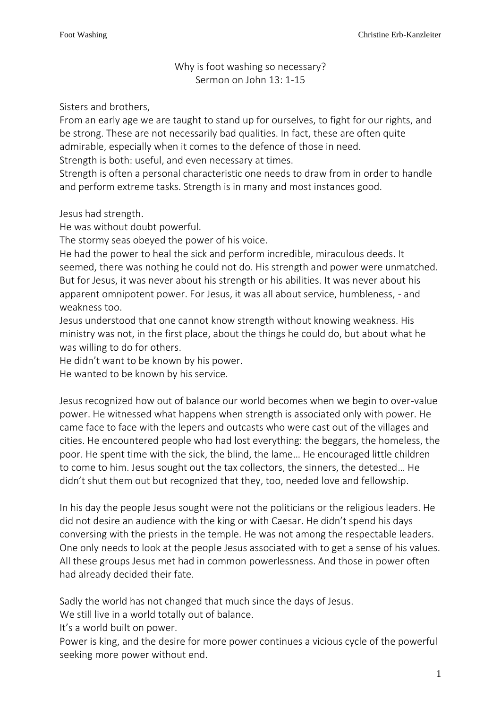Why is foot washing so necessary? Sermon on John 13: 1-15

Sisters and brothers,

From an early age we are taught to stand up for ourselves, to fight for our rights, and be strong. These are not necessarily bad qualities. In fact, these are often quite admirable, especially when it comes to the defence of those in need. Strength is both: useful, and even necessary at times.

Strength is often a personal characteristic one needs to draw from in order to handle and perform extreme tasks. Strength is in many and most instances good.

Jesus had strength.

He was without doubt powerful.

The stormy seas obeyed the power of his voice.

He had the power to heal the sick and perform incredible, miraculous deeds. It seemed, there was nothing he could not do. His strength and power were unmatched. But for Jesus, it was never about his strength or his abilities. It was never about his apparent omnipotent power. For Jesus, it was all about service, humbleness, - and weakness too.

Jesus understood that one cannot know strength without knowing weakness. His ministry was not, in the first place, about the things he could do, but about what he was willing to do for others.

He didn't want to be known by his power.

He wanted to be known by his service.

Jesus recognized how out of balance our world becomes when we begin to over-value power. He witnessed what happens when strength is associated only with power. He came face to face with the lepers and outcasts who were cast out of the villages and cities. He encountered people who had lost everything: the beggars, the homeless, the poor. He spent time with the sick, the blind, the lame… He encouraged little children to come to him. Jesus sought out the tax collectors, the sinners, the detested… He didn't shut them out but recognized that they, too, needed love and fellowship.

In his day the people Jesus sought were not the politicians or the religious leaders. He did not desire an audience with the king or with Caesar. He didn't spend his days conversing with the priests in the temple. He was not among the respectable leaders. One only needs to look at the people Jesus associated with to get a sense of his values. All these groups Jesus met had in common powerlessness. And those in power often had already decided their fate.

Sadly the world has not changed that much since the days of Jesus.

We still live in a world totally out of balance.

It's a world built on power.

Power is king, and the desire for more power continues a vicious cycle of the powerful seeking more power without end.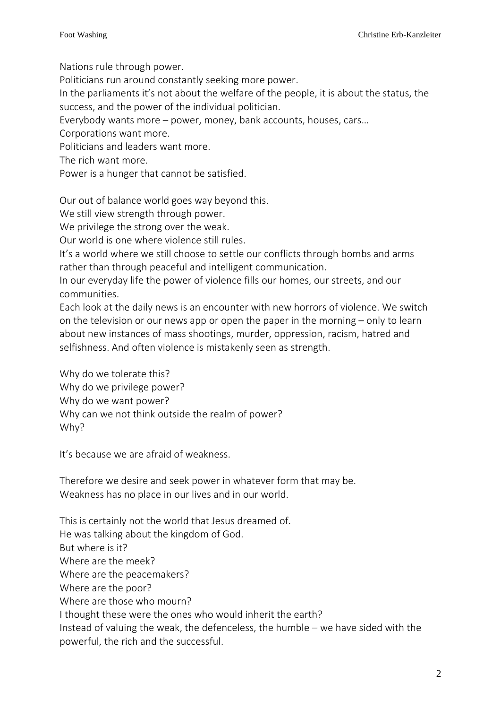Nations rule through power.

Politicians run around constantly seeking more power.

In the parliaments it's not about the welfare of the people, it is about the status, the success, and the power of the individual politician.

Everybody wants more – power, money, bank accounts, houses, cars…

Corporations want more.

Politicians and leaders want more.

The rich want more.

Power is a hunger that cannot be satisfied.

Our out of balance world goes way beyond this.

We still view strength through power.

We privilege the strong over the weak.

Our world is one where violence still rules.

It's a world where we still choose to settle our conflicts through bombs and arms rather than through peaceful and intelligent communication.

In our everyday life the power of violence fills our homes, our streets, and our communities.

Each look at the daily news is an encounter with new horrors of violence. We switch on the television or our news app or open the paper in the morning – only to learn about new instances of mass shootings, murder, oppression, racism, hatred and selfishness. And often violence is mistakenly seen as strength.

Why do we tolerate this? Why do we privilege power? Why do we want power? Why can we not think outside the realm of power? Why?

It's because we are afraid of weakness.

Therefore we desire and seek power in whatever form that may be. Weakness has no place in our lives and in our world.

This is certainly not the world that Jesus dreamed of. He was talking about the kingdom of God. But where is it? Where are the meek? Where are the peacemakers? Where are the poor? Where are those who mourn? I thought these were the ones who would inherit the earth? Instead of valuing the weak, the defenceless, the humble – we have sided with the powerful, the rich and the successful.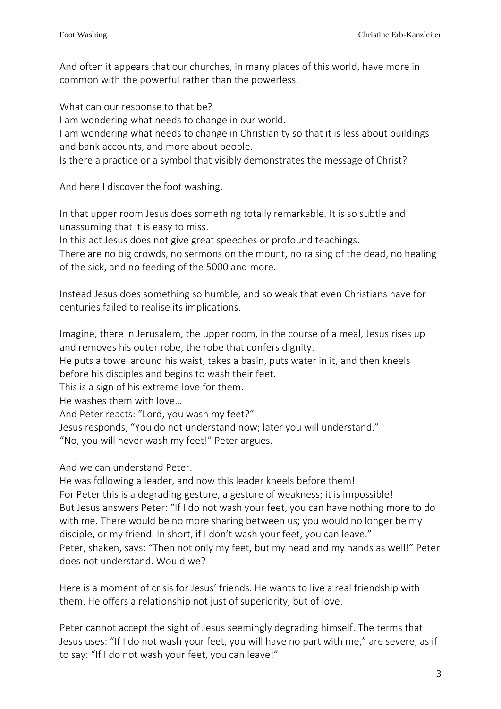And often it appears that our churches, in many places of this world, have more in common with the powerful rather than the powerless.

What can our response to that be? I am wondering what needs to change in our world. I am wondering what needs to change in Christianity so that it is less about buildings and bank accounts, and more about people. Is there a practice or a symbol that visibly demonstrates the message of Christ?

And here I discover the foot washing.

In that upper room Jesus does something totally remarkable. It is so subtle and unassuming that it is easy to miss.

In this act Jesus does not give great speeches or profound teachings.

There are no big crowds, no sermons on the mount, no raising of the dead, no healing of the sick, and no feeding of the 5000 and more.

Instead Jesus does something so humble, and so weak that even Christians have for centuries failed to realise its implications.

Imagine, there in Jerusalem, the upper room, in the course of a meal, Jesus rises up and removes his outer robe, the robe that confers dignity.

He puts a towel around his waist, takes a basin, puts water in it, and then kneels before his disciples and begins to wash their feet.

This is a sign of his extreme love for them.

He washes them with love…

And Peter reacts: "Lord, you wash my feet?"

Jesus responds, "You do not understand now; later you will understand."

"No, you will never wash my feet!" Peter argues.

And we can understand Peter.

He was following a leader, and now this leader kneels before them! For Peter this is a degrading gesture, a gesture of weakness; it is impossible! But Jesus answers Peter: "If I do not wash your feet, you can have nothing more to do with me. There would be no more sharing between us; you would no longer be my disciple, or my friend. In short, if I don't wash your feet, you can leave." Peter, shaken, says: "Then not only my feet, but my head and my hands as well!" Peter does not understand. Would we?

Here is a moment of crisis for Jesus' friends. He wants to live a real friendship with them. He offers a relationship not just of superiority, but of love.

Peter cannot accept the sight of Jesus seemingly degrading himself. The terms that Jesus uses: "If I do not wash your feet, you will have no part with me," are severe, as if to say: "If I do not wash your feet, you can leave!"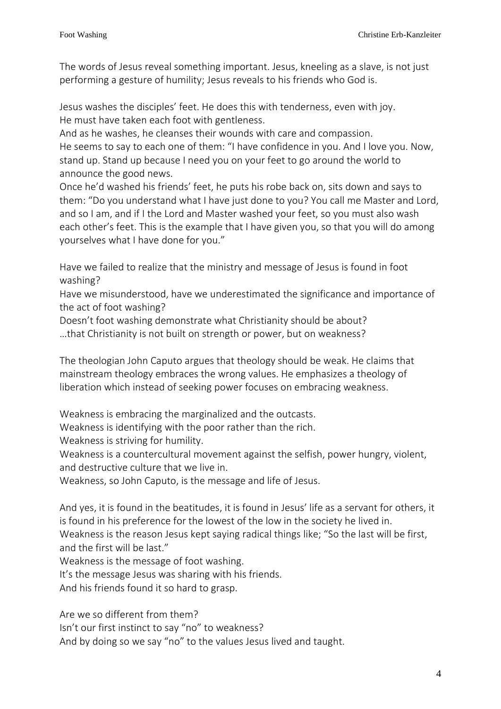The words of Jesus reveal something important. Jesus, kneeling as a slave, is not just performing a gesture of humility; Jesus reveals to his friends who God is.

Jesus washes the disciples' feet. He does this with tenderness, even with joy. He must have taken each foot with gentleness.

And as he washes, he cleanses their wounds with care and compassion.

He seems to say to each one of them: "I have confidence in you. And I love you. Now, stand up. Stand up because I need you on your feet to go around the world to announce the good news.

Once he'd washed his friends' feet, he puts his robe back on, sits down and says to them: "Do you understand what I have just done to you? You call me Master and Lord, and so I am, and if I the Lord and Master washed your feet, so you must also wash each other's feet. This is the example that I have given you, so that you will do among yourselves what I have done for you."

Have we failed to realize that the ministry and message of Jesus is found in foot washing?

Have we misunderstood, have we underestimated the significance and importance of the act of foot washing?

Doesn't foot washing demonstrate what Christianity should be about? …that Christianity is not built on strength or power, but on weakness?

The theologian John Caputo argues that theology should be weak. He claims that mainstream theology embraces the wrong values. He emphasizes a theology of liberation which instead of seeking power focuses on embracing weakness.

Weakness is embracing the marginalized and the outcasts.

Weakness is identifying with the poor rather than the rich.

Weakness is striving for humility.

Weakness is a countercultural movement against the selfish, power hungry, violent, and destructive culture that we live in.

Weakness, so John Caputo, is the message and life of Jesus.

And yes, it is found in the beatitudes, it is found in Jesus' life as a servant for others, it is found in his preference for the lowest of the low in the society he lived in. Weakness is the reason Jesus kept saying radical things like; "So the last will be first, and the first will be last."

Weakness is the message of foot washing.

It's the message Jesus was sharing with his friends.

And his friends found it so hard to grasp.

Are we so different from them? Isn't our first instinct to say "no" to weakness? And by doing so we say "no" to the values Jesus lived and taught.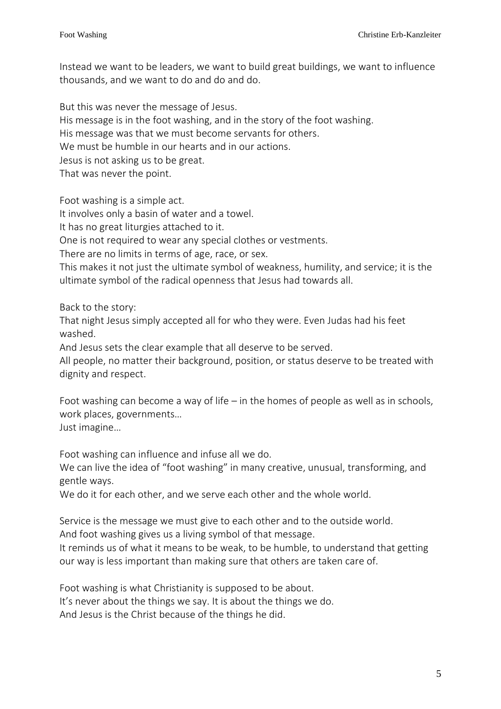Instead we want to be leaders, we want to build great buildings, we want to influence thousands, and we want to do and do and do.

But this was never the message of Jesus. His message is in the foot washing, and in the story of the foot washing. His message was that we must become servants for others. We must be humble in our hearts and in our actions. Jesus is not asking us to be great. That was never the point.

Foot washing is a simple act.

It involves only a basin of water and a towel.

It has no great liturgies attached to it.

One is not required to wear any special clothes or vestments.

There are no limits in terms of age, race, or sex.

This makes it not just the ultimate symbol of weakness, humility, and service; it is the ultimate symbol of the radical openness that Jesus had towards all.

Back to the story:

That night Jesus simply accepted all for who they were. Even Judas had his feet washed.

And Jesus sets the clear example that all deserve to be served.

All people, no matter their background, position, or status deserve to be treated with dignity and respect.

Foot washing can become a way of life – in the homes of people as well as in schools, work places, governments…

Just imagine…

Foot washing can influence and infuse all we do.

We can live the idea of "foot washing" in many creative, unusual, transforming, and gentle ways.

We do it for each other, and we serve each other and the whole world.

Service is the message we must give to each other and to the outside world.

And foot washing gives us a living symbol of that message.

It reminds us of what it means to be weak, to be humble, to understand that getting our way is less important than making sure that others are taken care of.

Foot washing is what Christianity is supposed to be about. It's never about the things we say. It is about the things we do. And Jesus is the Christ because of the things he did.